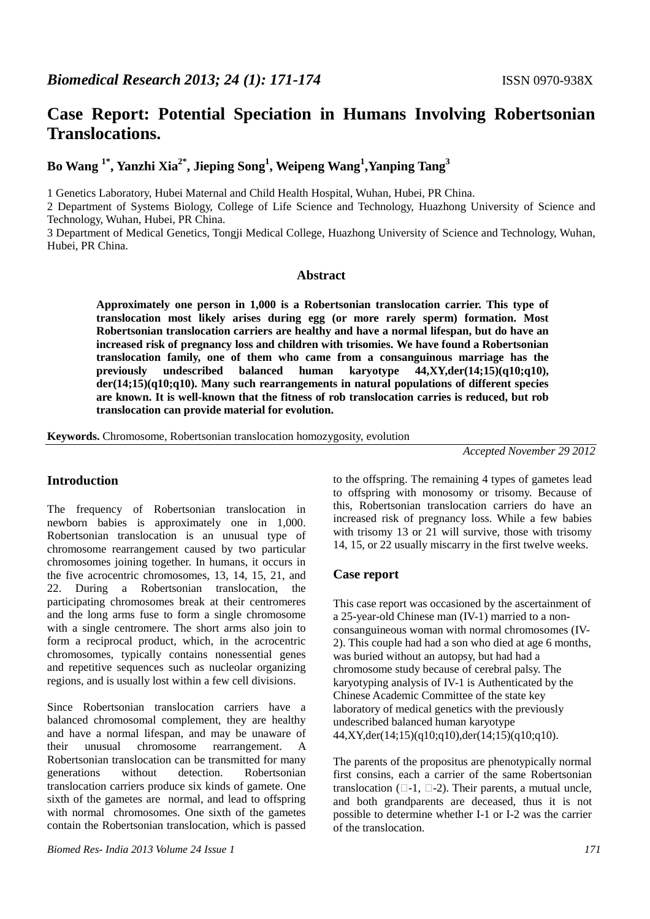# **Case Report: Potential Speciation in Humans Involving Robertsonian Translocations.**

# **Bo Wang 1\*, Yanzhi Xia2\*, Jieping Song<sup>1</sup> , Weipeng Wang<sup>1</sup> ,Yanping Tang<sup>3</sup>**

1 Genetics Laboratory, Hubei Maternal and Child Health Hospital, Wuhan, Hubei, PR China.

2 Department of Systems Biology, College of Life Science and Technology, Huazhong University of Science and Technology, Wuhan, Hubei, PR China.

3 Department of Medical Genetics, Tongji Medical College, Huazhong University of Science and Technology, Wuhan, Hubei, PR China.

#### **Abstract**

**Approximately one person in 1,000 is a Robertsonian translocation carrier. This type of translocation most likely arises during egg (or more rarely sperm) formation. Most Robertsonian translocation carriers are healthy and have a normal lifespan, but do have an increased risk of pregnancy loss and children with trisomies. We have found a Robertsonian translocation family, one of them who came from a consanguinous marriage has the previously undescribed balanced human karyotype 44,XY,der(14;15)(q10;q10), der(14;15)(q10;q10). Many such rearrangements in natural populations of different species are known. It is well-known that the fitness of rob translocation carries is reduced, but rob translocation can provide material for evolution.** 

**Keywords.** Chromosome, Robertsonian translocation homozygosity, evolution

*Accepted November 29 2012* 

# **Introduction**

The frequency of Robertsonian translocation in newborn babies is approximately one in 1,000. Robertsonian translocation is an unusual type of chromosome rearrangement caused by two particular chromosomes joining together. In humans, it occurs in the five acrocentric chromosomes, 13, 14, 15, 21, and 22. During a Robertsonian translocation, the participating chromosomes break at their centromeres and the long arms fuse to form a single chromosome with a single centromere. The short arms also join to form a reciprocal product, which, in the acrocentric chromosomes, typically contains nonessential genes and repetitive sequences such as nucleolar organizing regions, and is usually lost within a few cell divisions.

Since Robertsonian translocation carriers have a balanced chromosomal complement, they are healthy and have a normal lifespan, and may be unaware of their unusual chromosome rearrangement. A Robertsonian translocation can be transmitted for many generations without detection. Robertsonian translocation carriers produce six kinds of gamete. One sixth of the gametes are normal, and lead to offspring with normal chromosomes. One sixth of the gametes contain the Robertsonian translocation, which is passed to the offspring. The remaining 4 types of gametes lead to offspring with monosomy or trisomy. Because of this, Robertsonian translocation carriers do have an increased risk of pregnancy loss. While a few babies with trisomy 13 or 21 will survive, those with trisomy 14, 15, or 22 usually miscarry in the first twelve weeks.

# **Case report**

This case report was occasioned by the ascertainment of a 25-year-old Chinese man (IV-1) married to a nonconsanguineous woman with normal chromosomes (IV-2). This couple had had a son who died at age 6 months, was buried without an autopsy, but had had a chromosome study because of cerebral palsy. The karyotyping analysis of IV-1 is Authenticated by the Chinese Academic Committee of the state key laboratory of medical genetics with the previously undescribed balanced human karyotype 44,XY,der(14;15)(q10;q10),der(14;15)(q10;q10).

The parents of the propositus are phenotypically normal first consins, each a carrier of the same Robertsonian translocation  $(-1, -2)$ . Their parents, a mutual uncle, and both grandparents are deceased, thus it is not possible to determine whether I-1 or I-2 was the carrier of the translocation.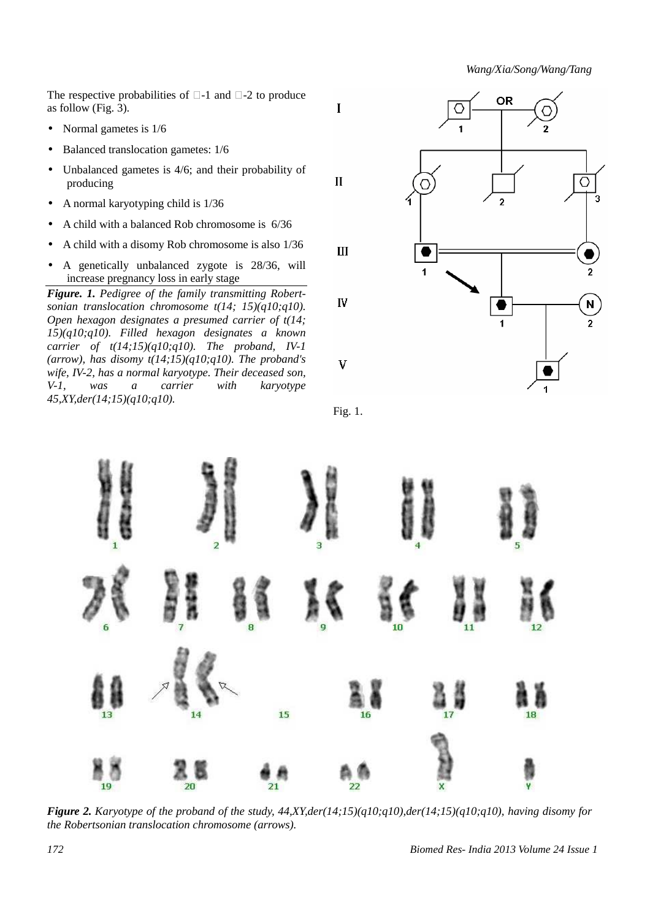*Wang/Xia/Song/Wang/Tang* 

The respective probabilities of -1 and -2 to produce as follow (Fig. 3).

- Normal gametes is  $1/6$
- Balanced translocation gametes:  $1/6$
- Unbalanced gametes is  $4/6$ ; and their probability of producing
- A normal karyotyping child is  $1/36$
- A child with a balanced Rob chromosome is 6/36
- A child with a disomy Rob chromosome is also 1/36
- A genetically unbalanced zygote is 28/36, will increase pregnancy loss in early stage

*Figure. 1. Pedigree of the family transmitting Robertsonian translocation chromosome t(14; 15)(q10;q10). Open hexagon designates a presumed carrier of t(14; 15)(q10;q10). Filled hexagon designates a known carrier of t(14;15)(q10;q10). The proband, IV-1 (arrow), has disomy t(14;15)(q10;q10). The proband's wife, IV-2, has a normal karyotype. Their deceased son, V-1, was a carrier with karyotype 45,XY,der(14;15)(q10;q10).* 







*Figure 2. Karyotype of the proband of the study, 44,XY,der(14;15)(q10;q10),der(14;15)(q10;q10), having disomy for the Robertsonian translocation chromosome (arrows).*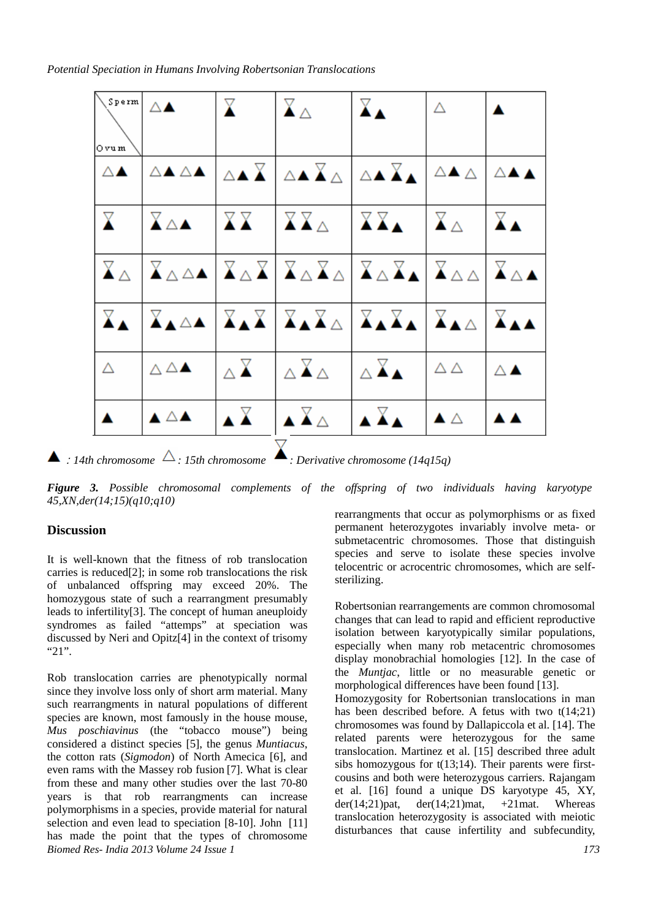*Potential Speciation in Humans Involving Robertsonian Translocations* 

| l Ovum.                      | $\sqrt{s_{\text{perm}}}$ $\Delta$        | $\mathbf{X}$           | $\mathbf{X}_{\Delta}$                                                                                                                                                                | $\mathbb{X}_{\blacktriangle}$ | Δ                             |                              |
|------------------------------|------------------------------------------|------------------------|--------------------------------------------------------------------------------------------------------------------------------------------------------------------------------------|-------------------------------|-------------------------------|------------------------------|
| $\triangle$ $\blacktriangle$ |                                          |                        | △▲△▲│△▲Ⅴ│△▲Ⅴ△│△▲Ⅴ▲│△▲△│△▲▲│                                                                                                                                                          |                               |                               |                              |
| $\mathbf{X}$                 | Ⅴ△▲                                      |                        | $\begin{array}{ c c c c c }\hline \textbf{XX} & \textbf{XX}_{\Delta} & \textbf{XX}_{\Delta} & \textbf{XX}_{\Delta} \\\hline \end{array}$                                             |                               |                               | $X_{\blacktriangle}$         |
|                              |                                          |                        | ▏ <del>ゞ</del> ◬▕ゞ◬◬▴▕ゞ◬ゞ▏ゞ◬ゞ◬│ゞ◬ゞ▴▏ <sub>ゞ</sub> ◬◬│ゞ◬▵│                                                                                                                            |                               |                               |                              |
|                              |                                          |                        | ▏ <del>X</del> ▲▕X▲△▲│X▲X│X▲X△│X▲X▲│X▲△│X▲▲│                                                                                                                                         |                               |                               |                              |
| $\Delta$                     | $\triangle$ $\triangle$ $\blacktriangle$ | $\triangle \mathbf{X}$ | $\triangle X \triangle$ $\triangle X$                                                                                                                                                |                               | $\triangle \triangle$         | $\triangle$ $\blacktriangle$ |
|                              | ▴△▴                                      |                        | $\begin{array}{ c c c c c }\n\hline\n\textbf{X} & \textbf{X} & \textbf{X} & \textbf{X} \\ \hline\n\textbf{X} & \textbf{X} & \textbf{X} & \textbf{X}\n\end{array}$<br>$\triangledown$ |                               | $\blacktriangle \vartriangle$ | A A                          |

 $\blacktriangle$ : 14th chromosome  $\triangle$ : 15th chromosome  $\blacktriangle$ : Derivative chromosome (14q15q)

*Figure 3. Possible chromosomal complements of the offspring of two individuals having karyotype 45,XN,der(14;15)(q10;q10)* 

#### **Discussion**

It is well-known that the fitness of rob translocation carries is reduced[2]; in some rob translocations the risk of unbalanced offspring may exceed 20%. The homozygous state of such a rearrangment presumably leads to infertility[3]. The concept of human aneuploidy syndromes as failed "attemps" at speciation was discussed by Neri and Opitz[4] in the context of trisomy "21".

*Biomed Res- India 2013 Volume 24 Issue 1 173* Rob translocation carries are phenotypically normal since they involve loss only of short arm material. Many such rearrangments in natural populations of different species are known, most famously in the house mouse, *Mus poschiavinus* (the "tobacco mouse") being considered a distinct species [5], the genus *Muntiacus*, the cotton rats (*Sigmodon*) of North Amecica [6], and even rams with the Massey rob fusion [7]. What is clear from these and many other studies over the last 70-80 years is that rob rearrangments can increase polymorphisms in a species, provide material for natural selection and even lead to speciation [8-10]. John [11] has made the point that the types of chromosome

rearrangments that occur as polymorphisms or as fixed permanent heterozygotes invariably involve meta- or submetacentric chromosomes. Those that distinguish species and serve to isolate these species involve telocentric or acrocentric chromosomes, which are selfsterilizing.

Robertsonian rearrangements are common chromosomal changes that can lead to rapid and efficient reproductive isolation between karyotypically similar populations, especially when many rob metacentric chromosomes display monobrachial homologies [12]. In the case of the *Muntjac*, little or no measurable genetic or morphological differences have been found [13].

Homozygosity for Robertsonian translocations in man has been described before. A fetus with two t(14:21) chromosomes was found by Dallapiccola et al. [14]. The related parents were heterozygous for the same translocation. Martinez et al. [15] described three adult sibs homozygous for  $t(13;14)$ . Their parents were firstcousins and both were heterozygous carriers. Rajangam et al. [16] found a unique DS karyotype 45, XY, der(14;21)pat, der(14;21)mat,  $+21$ mat. Whereas translocation heterozygosity is associated with meiotic disturbances that cause infertility and subfecundity,